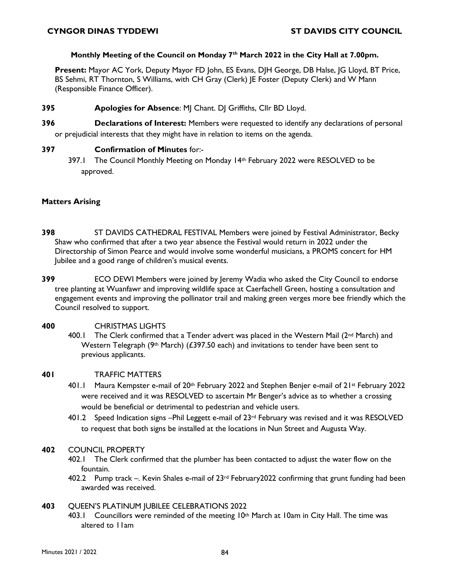### **Monthly Meeting of the Council on Monday 7th March 2022 in the City Hall at 7.00pm.**

**Present:** Mayor AC York, Deputy Mayor FD John, ES Evans, DJH George, DB Halse, JG Lloyd, BT Price, BS Sehmi, RT Thornton, S Williams, with CH Gray (Clerk) JE Foster (Deputy Clerk) and W Mann (Responsible Finance Officer).

## **395 Apologies for Absence: MI Chant. DI Griffiths, CIIr BD Lloyd.**

**396 Declarations of Interest:** Members were requested to identify any declarations of personal or prejudicial interests that they might have in relation to items on the agenda.

# **397 Confirmation of Minutes** for:-

397.1 The Council Monthly Meeting on Monday 14th February 2022 were RESOLVED to be approved.

# **Matters Arising**

- **398** ST DAVIDS CATHEDRAL FESTIVAL Members were joined by Festival Administrator, Becky Shaw who confirmed that after a two year absence the Festival would return in 2022 under the Directorship of Simon Pearce and would involve some wonderful musicians, a PROMS concert for HM Jubilee and a good range of children's musical events.
- **399** ECO DEWI Members were joined by Jeremy Wadia who asked the City Council to endorse tree planting at Wuanfawr and improving wildlife space at Caerfachell Green, hosting a consultation and engagement events and improving the pollinator trail and making green verges more bee friendly which the Council resolved to support.

### **400** CHRISTMAS LIGHTS

400.1 The Clerk confirmed that a Tender advert was placed in the Western Mail (2<sup>nd</sup> March) and Western Telegraph (9<sup>th</sup> March) (£397.50 each) and invitations to tender have been sent to previous applicants.

### **401** TRAFFIC MATTERS

- 401.1 Maura Kempster e-mail of 20th February 2022 and Stephen Benjer e-mail of 21st February 2022 were received and it was RESOLVED to ascertain Mr Benger's advice as to whether a crossing would be beneficial or detrimental to pedestrian and vehicle users.
- 401.2 Speed Indication signs –Phil Leggett e-mail of 23rd February was revised and it was RESOLVED to request that both signs be installed at the locations in Nun Street and Augusta Way.

### **402** COUNCIL PROPERTY

- 402.1 The Clerk confirmed that the plumber has been contacted to adjust the water flow on the fountain.
- 402.2 Pump track –. Kevin Shales e-mail of  $23rd$  February 2022 confirming that grunt funding had been awarded was received.

### **403** QUEEN'S PLATINUM JUBILEE CELEBRATIONS 2022

403.1 Councillors were reminded of the meeting 10th March at 10am in City Hall. The time was altered to 11am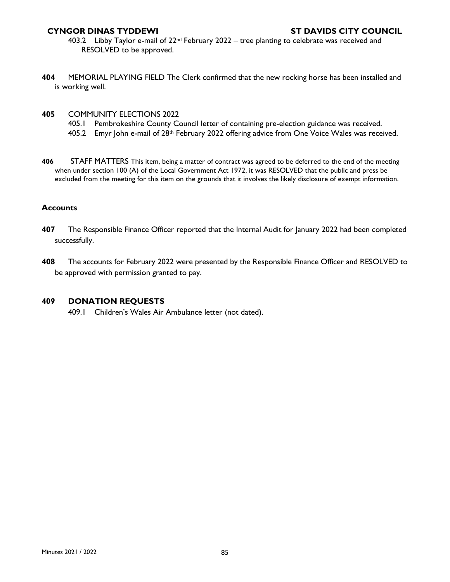- 403.2 Libby Taylor e-mail of  $22^{nd}$  February 2022 tree planting to celebrate was received and RESOLVED to be approved.
- **404** MEMORIAL PLAYING FIELD The Clerk confirmed that the new rocking horse has been installed and is working well.
- **405** COMMUNITY ELECTIONS 2022
	- 405.1 Pembrokeshire County Council letter of containing pre-election guidance was received.
	- 405.2 Emyr John e-mail of 28th February 2022 offering advice from One Voice Wales was received.
- **406** STAFF MATTERS This item, being a matter of contract was agreed to be deferred to the end of the meeting when under section 100 (A) of the Local Government Act 1972, it was RESOLVED that the public and press be excluded from the meeting for this item on the grounds that it involves the likely disclosure of exempt information.

#### **Accounts**

- **407** The Responsible Finance Officer reported that the Internal Audit for January 2022 had been completed successfully.
- **408** The accounts for February 2022 were presented by the Responsible Finance Officer and RESOLVED to be approved with permission granted to pay.

### **409 DONATION REQUESTS**

409.1 Children's Wales Air Ambulance letter (not dated).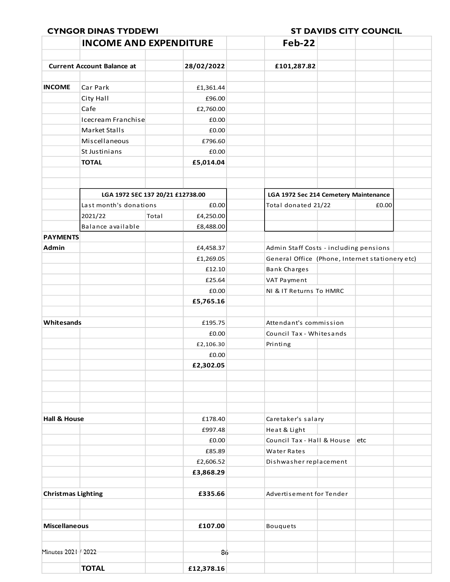|                           | <b>INCOME AND EXPENDITURE</b>     |       |            | Feb-22                                 |                                                 |  |  |  |  |  |  |
|---------------------------|-----------------------------------|-------|------------|----------------------------------------|-------------------------------------------------|--|--|--|--|--|--|
|                           | <b>Current Account Balance at</b> |       | 28/02/2022 |                                        |                                                 |  |  |  |  |  |  |
|                           |                                   |       |            | £101,287.82                            |                                                 |  |  |  |  |  |  |
| <b>INCOME</b>             | Car Park                          |       | £1,361.44  |                                        |                                                 |  |  |  |  |  |  |
|                           | City Hall                         |       | £96.00     |                                        |                                                 |  |  |  |  |  |  |
|                           | Cafe                              |       | £2,760.00  |                                        |                                                 |  |  |  |  |  |  |
|                           | Icecream Franchise                |       | £0.00      |                                        |                                                 |  |  |  |  |  |  |
|                           | Market Stalls                     |       | £0.00      |                                        |                                                 |  |  |  |  |  |  |
|                           | Miscellaneous                     |       | £796.60    |                                        |                                                 |  |  |  |  |  |  |
|                           | St Justinians                     |       | £0.00      |                                        |                                                 |  |  |  |  |  |  |
|                           | <b>TOTAL</b>                      |       | £5,014.04  |                                        |                                                 |  |  |  |  |  |  |
|                           |                                   |       |            |                                        |                                                 |  |  |  |  |  |  |
|                           | LGA 1972 SEC 137 20/21 £12738.00  |       |            |                                        | LGA 1972 Sec 214 Cemetery Maintenance           |  |  |  |  |  |  |
|                           | Last month's donations            |       | £0.00      | Total donated 21/22                    | £0.00                                           |  |  |  |  |  |  |
|                           | 2021/22                           | Total | £4,250.00  |                                        |                                                 |  |  |  |  |  |  |
|                           | Balance available                 |       | £8,488.00  |                                        |                                                 |  |  |  |  |  |  |
| <b>PAYMENTS</b>           |                                   |       |            |                                        |                                                 |  |  |  |  |  |  |
| Admin                     |                                   |       | £4,458.37  | Admin Staff Costs - including pensions |                                                 |  |  |  |  |  |  |
|                           |                                   |       | £1,269.05  |                                        | General Office (Phone, Internet stationery etc) |  |  |  |  |  |  |
|                           |                                   |       | £12.10     | <b>Bank Charges</b>                    |                                                 |  |  |  |  |  |  |
|                           |                                   |       | £25.64     | VAT Payment                            |                                                 |  |  |  |  |  |  |
|                           |                                   |       | £0.00      | NI & IT Returns To HMRC                |                                                 |  |  |  |  |  |  |
|                           |                                   |       | £5,765.16  |                                        |                                                 |  |  |  |  |  |  |
| Whitesands                |                                   |       | £195.75    | Attendant's commission                 |                                                 |  |  |  |  |  |  |
|                           |                                   |       | £0.00      | Council Tax - Whitesands               |                                                 |  |  |  |  |  |  |
|                           |                                   |       | £2,106.30  | Printing                               |                                                 |  |  |  |  |  |  |
|                           |                                   |       | £0.00      |                                        |                                                 |  |  |  |  |  |  |
|                           |                                   |       | £2,302.05  |                                        |                                                 |  |  |  |  |  |  |
|                           |                                   |       |            |                                        |                                                 |  |  |  |  |  |  |
| <b>Hall &amp; House</b>   |                                   |       | £178.40    | Caretaker's salary                     |                                                 |  |  |  |  |  |  |
|                           |                                   |       | £997.48    | Heat & Light                           |                                                 |  |  |  |  |  |  |
|                           |                                   |       | £0.00      | Council Tax - Hall & House             | etc                                             |  |  |  |  |  |  |
|                           |                                   |       | £85.89     | Water Rates                            |                                                 |  |  |  |  |  |  |
|                           |                                   |       | £2,606.52  | Dishwasher replacement                 |                                                 |  |  |  |  |  |  |
|                           |                                   |       | £3,868.29  |                                        |                                                 |  |  |  |  |  |  |
| <b>Christmas Lighting</b> |                                   |       | £335.66    | Advertisement for Tender               |                                                 |  |  |  |  |  |  |
| <b>Miscellaneous</b>      |                                   |       | £107.00    | <b>Bouquets</b>                        |                                                 |  |  |  |  |  |  |
|                           |                                   |       |            |                                        |                                                 |  |  |  |  |  |  |
| Minutes 2021 / 2022       |                                   |       | 86         |                                        |                                                 |  |  |  |  |  |  |
|                           | <b>TOTAL</b>                      |       | £12,378.16 |                                        |                                                 |  |  |  |  |  |  |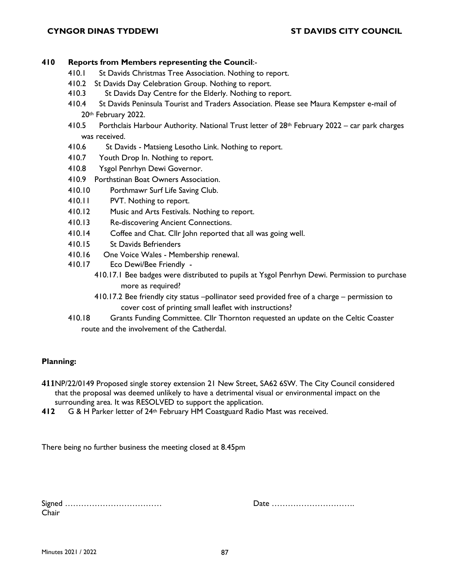## **410 Reports from Members representing the Council**:-

- 410.1 St Davids Christmas Tree Association. Nothing to report.
- 410.2 St Davids Day Celebration Group. Nothing to report.
- 410.3 St Davids Day Centre for the Elderly. Nothing to report.
- 410.4 St Davids Peninsula Tourist and Traders Association. Please see Maura Kempster e-mail of 20th February 2022.
- 410.5 Porthclais Harbour Authority. National Trust letter of 28th February 2022 car park charges was received.
- 410.6 St Davids Matsieng Lesotho Link. Nothing to report.
- 410.7 Youth Drop In. Nothing to report.
- 410.8 Ysgol Penrhyn Dewi Governor.
- 410.9 Porthstinan Boat Owners Association.
- 410.10 Porthmawr Surf Life Saving Club.
- 410.11 PVT. Nothing to report.
- 410.12 Music and Arts Festivals. Nothing to report.
- 410.13 Re-discovering Ancient Connections.
- 410.14 Coffee and Chat. Cllr John reported that all was going well.
- 410.15 St Davids Befrienders
- 410.16 One Voice Wales Membership renewal.
- 410.17 Eco Dewi/Bee Friendly
	- 410.17.1 Bee badges were distributed to pupils at Ysgol Penrhyn Dewi. Permission to purchase more as required?
	- 410.17.2 Bee friendly city status –pollinator seed provided free of a charge permission to cover cost of printing small leaflet with instructions?
- 410.18 Grants Funding Committee. Cllr Thornton requested an update on the Celtic Coaster route and the involvement of the Catherdal.

### **Planning:**

**411**NP/22/0149 Proposed single storey extension 21 New Street, SA62 6SW. The City Council considered that the proposal was deemed unlikely to have a detrimental visual or environmental impact on the surrounding area. It was RESOLVED to support the application.

**412** G & H Parker letter of 24<sup>th</sup> February HM Coastguard Radio Mast was received.

There being no further business the meeting closed at 8.45pm

| Chair |  |  |  |  |  |  |  |  |  |  |  |  |  |  |
|-------|--|--|--|--|--|--|--|--|--|--|--|--|--|--|

Date …………………………

Minutes 2021 / 2022 87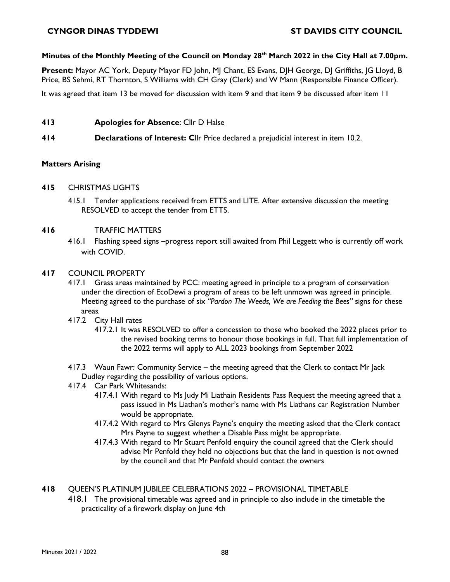## **Minutes of the Monthly Meeting of the Council on Monday 28th March 2022 in the City Hall at 7.00pm.**

Present: Mayor AC York, Deputy Mayor FD John, MJ Chant, ES Evans, DJH George, DJ Griffiths, JG Lloyd, B Price, BS Sehmi, RT Thornton, S Williams with CH Gray (Clerk) and W Mann (Responsible Finance Officer).

It was agreed that item 13 be moved for discussion with item 9 and that item 9 be discussed after item 11

- **413 Apologies for Absence**: Cllr D Halse
- **414 Declarations of Interest: C**llr Price declared a prejudicial interest in item 10.2.

### **Matters Arising**

#### **415** CHRISTMAS LIGHTS

415.1 Tender applications received from ETTS and LITE. After extensive discussion the meeting RESOLVED to accept the tender from ETTS.

#### **416** TRAFFIC MATTERS

416.1 Flashing speed signs –progress report still awaited from Phil Leggett who is currently off work with COVID.

#### **417** COUNCIL PROPERTY

- 417.1 Grass areas maintained by PCC: meeting agreed in principle to a program of conservation under the direction of EcoDewi a program of areas to be left unmown was agreed in principle. Meeting agreed to the purchase of six *"Pardon The Weeds, We are Feeding the Bees"* signs for these areas*.*
- 417.2 City Hall rates
	- 417.2.1 It was RESOLVED to offer a concession to those who booked the 2022 places prior to the revised booking terms to honour those bookings in full. That full implementation of the 2022 terms will apply to ALL 2023 bookings from September 2022
- 417.3 Waun Fawr: Community Service the meeting agreed that the Clerk to contact Mr Jack Dudley regarding the possibility of various options.
- 417.4 Car Park Whitesands:
	- 417.4.1 With regard to Ms Judy Mi Liathain Residents Pass Request the meeting agreed that a pass issued in Ms Liathan's mother's name with Ms Liathans car Registration Number would be appropriate.
	- 417.4.2 With regard to Mrs Glenys Payne's enquiry the meeting asked that the Clerk contact Mrs Payne to suggest whether a Disable Pass might be appropriate.
	- 417.4.3 With regard to Mr Stuart Penfold enquiry the council agreed that the Clerk should advise Mr Penfold they held no objections but that the land in question is not owned by the council and that Mr Penfold should contact the owners

## **418** QUEEN'S PLATINUM JUBILEE CELEBRATIONS 2022 – PROVISIONAL TIMETABLE

418.1 The provisional timetable was agreed and in principle to also include in the timetable the practicality of a firework display on June 4th